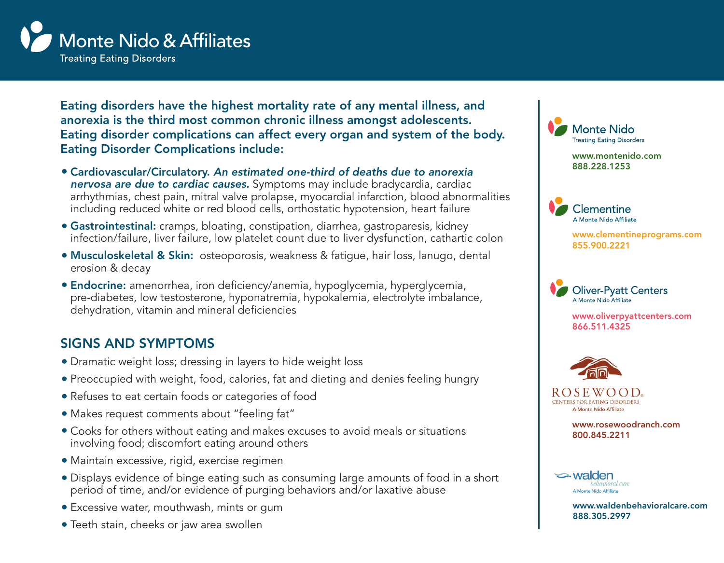

Eating disorders have the highest mortality rate of any mental illness, and anorexia is the third most common chronic illness amongst adolescents. Eating disorder complications can affect every organ and system of the body. Eating Disorder Complications include:

- <sup>l</sup> Cardiovascular/Circulatory. *An estimated one-third of deaths due to anorexia nervosa are due to cardiac causes.* Symptoms may include bradycardia, cardiac arrhythmias, chest pain, mitral valve prolapse, myocardial infarction, blood abnormalities including reduced white or red blood cells, orthostatic hypotension, heart failure
- **Gastrointestinal:** cramps, bloating, constipation, diarrhea, gastroparesis, kidney infection/failure, liver failure, low platelet count due to liver dysfunction, cathartic colon
- **Musculoskeletal & Skin:** osteoporosis, weakness & fatigue, hair loss, lanugo, dental erosion & decay
- **Endocrine:** amenorrhea, iron deficiency/anemia, hypoglycemia, hyperglycemia, pre-diabetes, low testosterone, hyponatremia, hypokalemia, electrolyte imbalance, dehydration, vitamin and mineral deficiencies

## SIGNS AND SYMPTOMS

- Dramatic weight loss; dressing in layers to hide weight loss
- Preoccupied with weight, food, calories, fat and dieting and denies feeling hungry
- Refuses to eat certain foods or categories of food
- Makes request comments about "feeling fat"
- Cooks for others without eating and makes excuses to avoid meals or situations involving food; discomfort eating around others
- $\bullet$  Maintain excessive, rigid, exercise regimen
- Displays evidence of binge eating such as consuming large amounts of food in a short period of time, and/or evidence of purging behaviors and/or laxative abuse
- **Excessive water, mouthwash, mints or gum**
- Teeth stain, cheeks or jaw area swollen



Clementine A Monte Nido Affiliate

> www.clementineprograms.com 855.900.2221



www.oliverpyattcenters.com 866.511.4325



ROSEWOOD. CENTERS FOR EATING DISORDERS A Monte Nido Affiliate

> www.rosewoodranch.com 800.845.2211



www.waldenbehavioralcare.com 888.305.2997